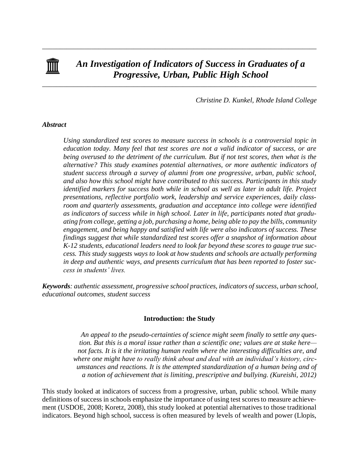

# *An Investigation of Indicators of Success in Graduates of a Progressive, Urban, Public High School*

\_\_\_\_\_\_\_\_\_\_\_\_\_\_\_\_\_\_\_\_\_\_\_\_\_\_\_\_\_\_\_\_\_\_\_\_\_\_\_\_\_\_\_\_\_\_\_\_\_\_\_\_\_\_\_\_\_\_\_\_\_\_\_\_\_\_\_\_\_\_\_\_\_\_\_\_\_\_

\_\_\_\_\_\_\_\_\_\_\_\_\_\_\_\_\_\_\_\_\_\_\_\_\_\_\_\_\_\_\_\_\_\_\_\_\_\_\_\_\_\_\_\_\_\_\_\_\_\_\_\_\_\_\_\_\_\_\_\_\_\_\_\_\_\_\_\_\_\_\_\_\_\_\_\_\_\_

*Christine D. Kunkel, Rhode Island College*

### *Abstract*

*Using standardized test scores to measure success in schools is a controversial topic in education today. Many feel that test scores are not a valid indicator of success, or are being overused to the detriment of the curriculum. But if not test scores, then what is the alternative? This study examines potential alternatives, or more authentic indicators of student success through a survey of alumni from one progressive, urban, public school, and also how this school might have contributed to this success. Participants in this study identified markers for success both while in school as well as later in adult life. Project presentations, reflective portfolio work, leadership and service experiences, daily classroom and quarterly assessments, graduation and acceptance into college were identified as indicators of success while in high school. Later in life, participants noted that graduating from college, getting a job, purchasing a home, being able to pay the bills, community engagement, and being happy and satisfied with life were also indicators of success. These findings suggest that while standardized test scores offer a snapshot of information about K-12 students, educational leaders need to look far beyond these scores to gauge true success. This study suggests ways to look at how students and schools are actually performing in deep and authentic ways, and presents curriculum that has been reported to foster success in students' lives.*

*Keywords: authentic assessment, progressive school practices, indicators of success, urban school, educational outcomes, student success*

# **Introduction: the Study**

 *An appeal to the pseudo-certainties of science might seem finally to settle any question. But this is a moral issue rather than a scientific one; values are at stake here not facts. It is it the irritating human realm where the interesting difficulties are, and where one might have to really think about and deal with an individual's history, circumstances and reactions. It is the attempted standardization of a human being and of a notion of achievement that is limiting, prescriptive and bullying. (Kureishi, 2012)*

This study looked at indicators of success from a progressive, urban, public school. While many definitions of success in schools emphasize the importance of using test scores to measure achievement (USDOE, 2008; Koretz, 2008), this study looked at potential alternatives to those traditional indicators. Beyond high school, success is often measured by levels of wealth and power (Llopis,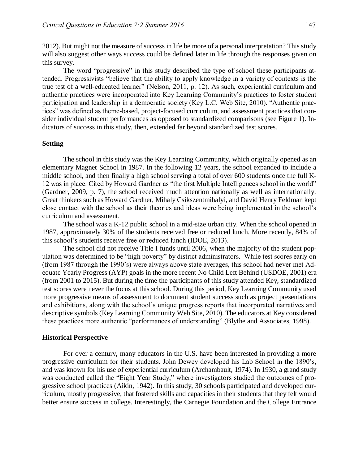2012). But might not the measure of success in life be more of a personal interpretation? This study will also suggest other ways success could be defined later in life through the responses given on this survey.

The word "progressive" in this study described the type of school these participants attended. Progressivists "believe that the ability to apply knowledge in a variety of contexts is the true test of a well-educated learner" (Nelson, 2011, p. 12). As such, experiential curriculum and authentic practices were incorporated into Key Learning Community's practices to foster student participation and leadership in a democratic society (Key L.C. Web Site, 2010). "Authentic practices" was defined as theme-based, project-focused curriculum, and assessment practices that consider individual student performances as opposed to standardized comparisons (see Figure 1). Indicators of success in this study, then, extended far beyond standardized test scores.

# **Setting**

 The school in this study was the Key Learning Community, which originally opened as an elementary Magnet School in 1987. In the following 12 years, the school expanded to include a middle school, and then finally a high school serving a total of over 600 students once the full K-12 was in place. Cited by Howard Gardner as "the first Multiple Intelligences school in the world" (Gardner, 2009, p. 7), the school received much attention nationally as well as internationally. Great thinkers such as Howard Gardner, Mihaly Csikszentmihalyi, and David Henry Feldman kept close contact with the school as their theories and ideas were being implemented in the school's curriculum and assessment.

 The school was a K-12 public school in a mid-size urban city. When the school opened in 1987, approximately 30% of the students received free or reduced lunch. More recently, 84% of this school's students receive free or reduced lunch (IDOE, 2013).

 The school did not receive Title I funds until 2006, when the majority of the student population was determined to be "high poverty" by district administrators. While test scores early on (from 1987 through the 1990's) were always above state averages, this school had never met Adequate Yearly Progress (AYP) goals in the more recent No Child Left Behind (USDOE, 2001) era (from 2001 to 2015). But during the time the participants of this study attended Key, standardized test scores were never the focus at this school. During this period, Key Learning Community used more progressive means of assessment to document student success such as project presentations and exhibitions, along with the school's unique progress reports that incorporated narratives and descriptive symbols (Key Learning Community Web Site, 2010). The educators at Key considered these practices more authentic "performances of understanding" (Blythe and Associates, 1998).

#### **Historical Perspective**

 For over a century, many educators in the U.S. have been interested in providing a more progressive curriculum for their students. John Dewey developed his Lab School in the 1890's, and was known for his use of experiential curriculum (Archambault, 1974). In 1930, a grand study was conducted called the "Eight Year Study," where investigators studied the outcomes of progressive school practices (Aikin, 1942). In this study, 30 schools participated and developed curriculum, mostly progressive, that fostered skills and capacities in their students that they felt would better ensure success in college. Interestingly, the Carnegie Foundation and the College Entrance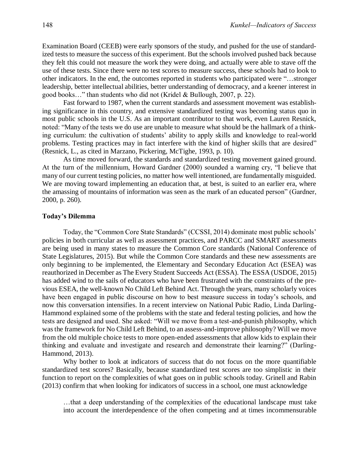Examination Board (CEEB) were early sponsors of the study, and pushed for the use of standardized tests to measure the success of this experiment. But the schools involved pushed back because they felt this could not measure the work they were doing, and actually were able to stave off the use of these tests. Since there were no test scores to measure success, these schools had to look to other indicators. In the end, the outcomes reported in students who participated were "…stronger leadership, better intellectual abilities, better understanding of democracy, and a keener interest in good books…" than students who did not (Kridel & Bullough, 2007, p. 22).

 Fast forward to 1987, when the current standards and assessment movement was establishing significance in this country, and extensive standardized testing was becoming status quo in most public schools in the U.S. As an important contributor to that work, even Lauren Resnick, noted: "Many of the tests we do use are unable to measure what should be the hallmark of a thinking curriculum: the cultivation of students' ability to apply skills and knowledge to real-world problems. Testing practices may in fact interfere with the kind of higher skills that are desired" (Resnick, L., as cited in Marzano, Pickering, McTighe, 1993, p. 10).

 As time moved forward, the standards and standardized testing movement gained ground. At the turn of the millennium, Howard Gardner (2000) sounded a warning cry, "I believe that many of our current testing policies, no matter how well intentioned, are fundamentally misguided. We are moving toward implementing an education that, at best, is suited to an earlier era, where the amassing of mountains of information was seen as the mark of an educated person" (Gardner, 2000, p. 260).

### **Today's Dilemma**

 Today, the "Common Core State Standards" (CCSSI, 2014) dominate most public schools' policies in both curricular as well as assessment practices, and PARCC and SMART assessments are being used in many states to measure the Common Core standards (National Conference of State Legislatures, 2015). But while the Common Core standards and these new assessments are only beginning to be implemented, the Elementary and Secondary Education Act (ESEA) was reauthorized in December as The Every Student Succeeds Act (ESSA). The ESSA (USDOE, 2015) has added wind to the sails of educators who have been frustrated with the constraints of the previous ESEA, the well-known No Child Left Behind Act. Through the years, many scholarly voices have been engaged in public discourse on how to best measure success in today's schools, and now this conversation intensifies. In a recent interview on National Pubic Radio, Linda Darling-Hammond explained some of the problems with the state and federal testing policies, and how the tests are designed and used. She asked: "Will we move from a test-and-punish philosophy, which was the framework for No Child Left Behind, to an assess-and-improve philosophy? Will we move from the old multiple choice tests to more open-ended assessments that allow kids to explain their thinking and evaluate and investigate and research and demonstrate their learning?" (Darling-Hammond, 2013).

 Why bother to look at indicators of success that do not focus on the more quantifiable standardized test scores? Basically, because standardized test scores are too simplistic in their function to report on the complexities of what goes on in public schools today. Grinell and Rabin (2013) confirm that when looking for indicators of success in a school, one must acknowledge

…that a deep understanding of the complexities of the educational landscape must take into account the interdependence of the often competing and at times incommensurable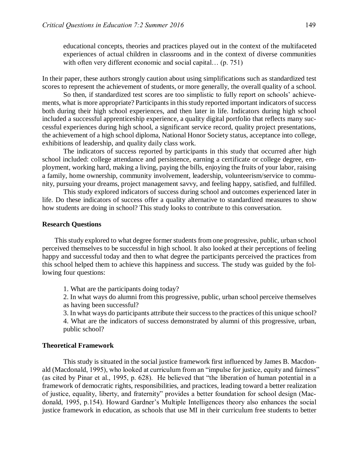educational concepts, theories and practices played out in the context of the multifaceted experiences of actual children in classrooms and in the context of diverse communities with often very different economic and social capital... (p. 751)

In their paper, these authors strongly caution about using simplifications such as standardized test scores to represent the achievement of students, or more generally, the overall quality of a school.

 So then, if standardized test scores are too simplistic to fully report on schools' achievements, what is more appropriate? Participants in this study reported important indicators of success both during their high school experiences, and then later in life. Indicators during high school included a successful apprenticeship experience, a quality digital portfolio that reflects many successful experiences during high school, a significant service record, quality project presentations, the achievement of a high school diploma, National Honor Society status, acceptance into college, exhibitions of leadership, and quality daily class work.

 The indicators of success reported by participants in this study that occurred after high school included: college attendance and persistence, earning a certificate or college degree, employment, working hard, making a living, paying the bills, enjoying the fruits of your labor, raising a family, home ownership, community involvement, leadership, volunteerism/service to community, pursuing your dreams, project management savvy, and feeling happy, satisfied, and fulfilled.

 This study explored indicators of success during school and outcomes experienced later in life. Do these indicators of success offer a quality alternative to standardized measures to show how students are doing in school? This study looks to contribute to this conversation.

#### **Research Questions**

 This study explored to what degree former students from one progressive, public, urban school perceived themselves to be successful in high school. It also looked at their perceptions of feeling happy and successful today and then to what degree the participants perceived the practices from this school helped them to achieve this happiness and success. The study was guided by the following four questions:

1. What are the participants doing today?

2. In what ways do alumni from this progressive, public, urban school perceive themselves as having been successful?

3. In what ways do participants attribute their success to the practices of this unique school? 4. What are the indicators of success demonstrated by alumni of this progressive, urban, public school?

#### **Theoretical Framework**

 This study is situated in the social justice framework first influenced by James B. Macdonald (Macdonald, 1995), who looked at curriculum from an "impulse for justice, equity and fairness" (as cited by Pinar et al., 1995, p. 628). He believed that "the liberation of human potential in a framework of democratic rights, responsibilities, and practices, leading toward a better realization of justice, equality, liberty, and fraternity" provides a better foundation for school design (Macdonald, 1995, p.154). Howard Gardner's Multiple Intelligences theory also enhances the social justice framework in education, as schools that use MI in their curriculum free students to better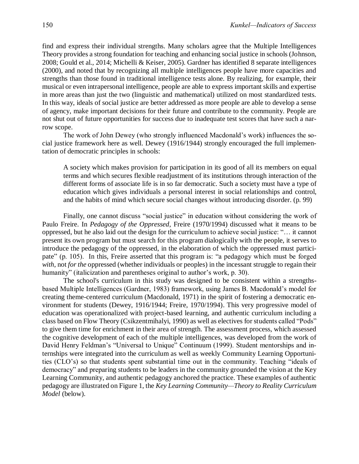find and express their individual strengths. Many scholars agree that the Multiple Intelligences Theory provides a strong foundation for teaching and enhancing social justice in schools (Johnson, 2008; Gould et al., 2014; Michelli & Keiser, 2005). Gardner has identified 8 separate intelligences (2000), and noted that by recognizing all multiple intelligences people have more capacities and strengths than those found in traditional intelligence tests alone. By realizing, for example, their musical or even intrapersonal intelligence, people are able to express important skills and expertise in more areas than just the two (linguistic and mathematical) utilized on most standardized tests. In this way, ideals of social justice are better addressed as more people are able to develop a sense of agency, make important decisions for their future and contribute to the community. People are not shut out of future opportunities for success due to inadequate test scores that have such a narrow scope.

 The work of John Dewey (who strongly influenced Macdonald's work) influences the social justice framework here as well. Dewey (1916/1944) strongly encouraged the full implementation of democratic principles in schools:

A society which makes provision for participation in its good of all its members on equal terms and which secures flexible readjustment of its institutions through interaction of the different forms of associate life is in so far democratic. Such a society must have a type of education which gives individuals a personal interest in social relationships and control, and the habits of mind which secure social changes without introducing disorder. (p. 99)

Finally, one cannot discuss "social justice" in education without considering the work of Paulo Freire. In *Pedagogy of the Oppressed*, Freire (1970/1994) discussed what it means to be oppressed, but he also laid out the design for the curriculum to achieve social justice: "… it cannot present its own program but must search for this program dialogically with the people, it serves to introduce the pedagogy of the oppressed, in the elaboration of which the oppressed must participate" (p. 105). In this, Freire asserted that this program is: "a pedagogy which must be forged *with*, not *for the* oppressed (whether individuals or peoples) in the incessant struggle to regain their humanity" (italicization and parentheses original to author's work, p. 30).

 The school's curriculum in this study was designed to be consistent within a strengthsbased Multiple Intelligences (Gardner, 1983) framework, using James B. Macdonald's model for creating theme-centered curriculum (Macdonald, 1971) in the spirit of fostering a democratic environment for students (Dewey, 1916/1944; Freire, 1970/1994). This very progressive model of education was operationalized with project-based learning, and authentic curriculum including a class based on Flow Theory (Csikzentmihalyi, 1990) as well as electives for students called "Pods" to give them time for enrichment in their area of strength. The assessment process, which assessed the cognitive development of each of the multiple intelligences, was developed from the work of David Henry Feldman's "Universal to Unique" Continuum (1999). Student mentorships and internships were integrated into the curriculum as well as weekly Community Learning Opportunities (CLO's) so that students spent substantial time out in the community. Teaching "ideals of democracy" and preparing students to be leaders in the community grounded the vision at the Key Learning Community, and authentic pedagogy anchored the practice. These examples of authentic pedagogy are illustrated on Figure 1, the *Key Learning Community—Theory to Reality Curriculum Model* (below).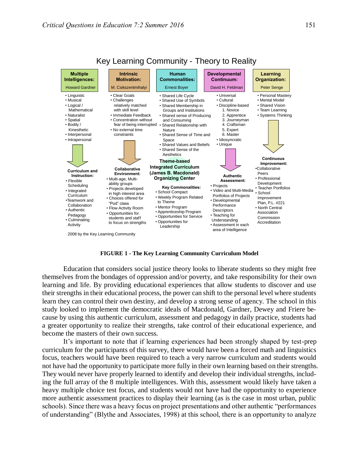

# Key Learning Community - Theory to Reality

**FIGURE 1 - The Key Learning Community Curriculum Model**

Education that considers social justice theory looks to liberate students so they might free themselves from the bondages of oppression and/or poverty, and take responsibility for their own learning and life. By providing educational experiences that allow students to discover and use their strengths in their educational process, the power can shift to the personal level where students learn they can control their own destiny, and develop a strong sense of agency. The school in this study looked to implement the democratic ideals of Macdonald, Gardner, Dewey and Friere because by using this authentic curriculum, assessment and pedagogy in daily practice, students had a greater opportunity to realize their strengths, take control of their educational experience, and become the masters of their own success.

 It's important to note that if learning experiences had been strongly shaped by test-prep curriculum for the participants of this survey, there would have been a forced math and linguistics focus, teachers would have been required to teach a very narrow curriculum and students would not have had the opportunity to participate more fully in their own learning based on their strengths. They would never have properly learned to identify and develop their individual strengths, including the full array of the 8 multiple intelligences. With this, assessment would likely have taken a heavy multiple choice test focus, and students would not have had the opportunity to experience more authentic assessment practices to display their learning (as is the case in most urban, public schools). Since there was a heavy focus on project presentations and other authentic "performances of understanding" (Blythe and Associates, 1998) at this school, there is an opportunity to analyze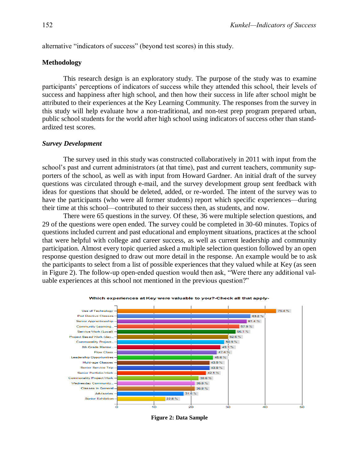alternative "indicators of success" (beyond test scores) in this study.

# **Methodology**

 This research design is an exploratory study. The purpose of the study was to examine participants' perceptions of indicators of success while they attended this school, their levels of success and happiness after high school, and then how their success in life after school might be attributed to their experiences at the Key Learning Community. The responses from the survey in this study will help evaluate how a non-traditional, and non-test prep program prepared urban, public school students for the world after high school using indicators of success other than standardized test scores.

#### *Survey Development*

 The survey used in this study was constructed collaboratively in 2011 with input from the school's past and current administrators (at that time), past and current teachers, community supporters of the school, as well as with input from Howard Gardner. An initial draft of the survey questions was circulated through e-mail, and the survey development group sent feedback with ideas for questions that should be deleted, added, or re-worded. The intent of the survey was to have the participants (who were all former students) report which specific experiences—during their time at this school—contributed to their success then, as students, and now.

 There were 65 questions in the survey. Of these, 36 were multiple selection questions, and 29 of the questions were open ended. The survey could be completed in 30-60 minutes. Topics of questions included current and past educational and employment situations, practices at the school that were helpful with college and career success, as well as current leadership and community participation. Almost every topic queried asked a multiple selection question followed by an open response question designed to draw out more detail in the response. An example would be to ask the participants to select from a list of possible experiences that they valued while at Key (as seen in Figure 2). The follow-up open-ended question would then ask, "Were there any additional valuable experiences at this school not mentioned in the previous question?"



Which experiences at Key were valuable to you?-Check all that apply-

**Figure 2: Data Sample**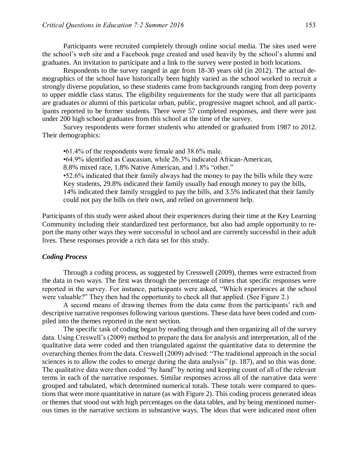Participants were recruited completely through online social media. The sites used were the school's web site and a Facebook page created and used heavily by the school's alumni and graduates. An invitation to participate and a link to the survey were posted in both locations.

 Respondents to the survey ranged in age from 18-30 years old (in 2012). The actual demographics of the school have historically been highly varied as the school worked to recruit a strongly diverse population, so these students came from backgrounds ranging from deep poverty to upper middle class status. The eligibility requirements for the study were that all participants are graduates or alumni of this particular urban, public, progressive magnet school, and all participants reported to be former students. There were 57 completed responses, and there were just under 200 high school graduates from this school at the time of the survey.

 Survey respondents were former students who attended or graduated from 1987 to 2012. Their demographics:

 •61.4% of the respondents were female and 38.6% male. •64.9% identified as Caucasian, while 26.3% indicated African-American, 8.8% mixed race, 1.8% Native American, and 1.8% "other." •52.6% indicated that their family always had the money to pay the bills while they were Key students, 29.8% indicated their family usually had enough money to pay the bills, 14% indicated their family struggled to pay the bills, and 3.5% indicated that their family could not pay the bills on their own, and relied on government help.

Participants of this study were asked about their experiences during their time at the Key Learning Community including their standardized test performance, but also had ample opportunity to report the many other ways they were successful in school and are currently successful in their adult lives. These responses provide a rich data set for this study.

### *Coding Process*

 Through a coding process, as suggested by Cresswell (2009), themes were extracted from the data in two ways. The first was through the percentage of times that specific responses were reported in the survey. For instance, participants were asked, "Which experiences at the school were valuable?" They then had the opportunity to check all that applied. (See Figure 2.)

 A second means of drawing themes from the data came from the participants' rich and descriptive narrative responses following various questions. These data have been coded and compiled into the themes reported in the next section.

The specific task of coding began by reading through and then organizing all of the survey data. Using Creswell's (2009) method to prepare the data for analysis and interpretation, all of the qualitative data were coded and then triangulated against the quantitative data to determine the overarching themes from the data. Creswell (2009) advised: "The traditional approach in the social sciences is to allow the codes to emerge during the data analysis" (p. 187), and so this was done. The qualitative data were then coded "by hand" by noting and keeping count of all of the relevant terms in each of the narrative responses. Similar responses across all of the narrative data were grouped and tabulated, which determined numerical totals. These totals were compared to questions that were more quantitative in nature (as with Figure 2). This coding process generated ideas or themes that stood out with high percentages on the data tables, and by being mentioned numerous times in the narrative sections in substantive ways. The ideas that were indicated most often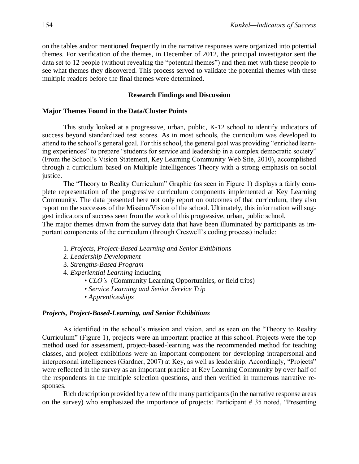on the tables and/or mentioned frequently in the narrative responses were organized into potential themes. For verification of the themes, in December of 2012, the principal investigator sent the data set to 12 people (without revealing the "potential themes") and then met with these people to see what themes they discovered. This process served to validate the potential themes with these multiple readers before the final themes were determined.

### **Research Findings and Discussion**

# **Major Themes Found in the Data/Cluster Points**

 This study looked at a progressive, urban, public, K-12 school to identify indicators of success beyond standardized test scores. As in most schools, the curriculum was developed to attend to the school's general goal. For this school, the general goal was providing "enriched learning experiences" to prepare "students for service and leadership in a complex democratic society" (From the School's Vision Statement, Key Learning Community Web Site, 2010), accomplished through a curriculum based on Multiple Intelligences Theory with a strong emphasis on social justice.

 The "Theory to Reality Curriculum" Graphic (as seen in Figure 1) displays a fairly complete representation of the progressive curriculum components implemented at Key Learning Community. The data presented here not only report on outcomes of that curriculum, they also report on the successes of the Mission/Vision of the school. Ultimately, this information will suggest indicators of success seen from the work of this progressive, urban, public school.

The major themes drawn from the survey data that have been illuminated by participants as important components of the curriculum (through Creswell's coding process) include:

- 1. *Projects, Project-Based Learning and Senior Exhibitions*
- 2. *Leadership Development*
- 3. *Strengths-Based Program*
- 4. *Experiential Learning* including
	- *CLO's* (Community Learning Opportunities, or field trips)
	- *Service Learning and Senior Service Trip*
	- *Apprenticeships*

#### *Projects, Project-Based-Learning, and Senior Exhibitions*

 As identified in the school's mission and vision, and as seen on the "Theory to Reality Curriculum" (Figure 1), projects were an important practice at this school. Projects were the top method used for assessment, project-based-learning was the recommended method for teaching classes, and project exhibitions were an important component for developing intrapersonal and interpersonal intelligences (Gardner, 2007) at Key, as well as leadership. Accordingly, "Projects" were reflected in the survey as an important practice at Key Learning Community by over half of the respondents in the multiple selection questions, and then verified in numerous narrative responses.

 Rich description provided by a few of the many participants (in the narrative response areas on the survey) who emphasized the importance of projects: Participant # 35 noted, "Presenting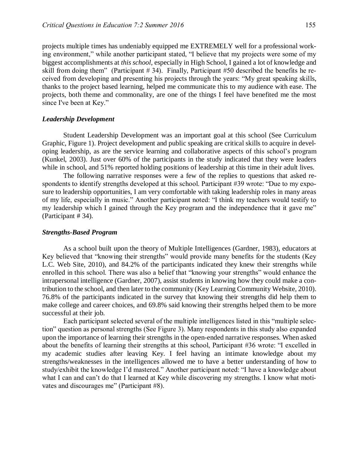projects multiple times has undeniably equipped me EXTREMELY well for a professional working environment," while another participant stated, "I believe that my projects were some of my biggest accomplishments at *this school*, especially in High School, I gained a lot of knowledge and skill from doing them" (Participant # 34). Finally, Participant #50 described the benefits he received from developing and presenting his projects through the years: "My great speaking skills, thanks to the project based learning, helped me communicate this to my audience with ease. The projects, both theme and commonality, are one of the things I feel have benefited me the most since I've been at Key."

#### *Leadership Development*

Student Leadership Development was an important goal at this school (See Curriculum Graphic, Figure 1). Project development and public speaking are critical skills to acquire in developing leadership, as are the service learning and collaborative aspects of this school's program (Kunkel, 2003). Just over 60% of the participants in the study indicated that they were leaders while in school, and 51% reported holding positions of leadership at this time in their adult lives.

 The following narrative responses were a few of the replies to questions that asked respondents to identify strengths developed at this school. Participant #39 wrote: "Due to my exposure to leadership opportunities, I am very comfortable with taking leadership roles in many areas of my life, especially in music." Another participant noted: "I think my teachers would testify to my leadership which I gained through the Key program and the independence that it gave me" (Participant # 34).

#### *Strengths-Based Program*

 As a school built upon the theory of Multiple Intelligences (Gardner, 1983), educators at Key believed that "knowing their strengths" would provide many benefits for the students (Key L.C. Web Site, 2010), and 84.2% of the participants indicated they knew their strengths while enrolled in this school. There was also a belief that "knowing your strengths" would enhance the intrapersonal intelligence (Gardner, 2007), assist students in knowing how they could make a contribution to the school, and then later to the community (Key Learning Community Website, 2010). 76.8% of the participants indicated in the survey that knowing their strengths did help them to make college and career choices, and 69.8% said knowing their strengths helped them to be more successful at their job.

 Each participant selected several of the multiple intelligences listed in this "multiple selection" question as personal strengths (See Figure 3). Many respondents in this study also expanded upon the importance of learning their strengths in the open-ended narrative responses. When asked about the benefits of learning their strengths at this school, Participant #36 wrote: "I excelled in my academic studies after leaving Key. I feel having an intimate knowledge about my strengths/weaknesses in the intelligences allowed me to have a better understanding of how to study/exhibit the knowledge I'd mastered." Another participant noted: "I have a knowledge about what I can and can't do that I learned at Key while discovering my strengths. I know what motivates and discourages me" (Participant #8).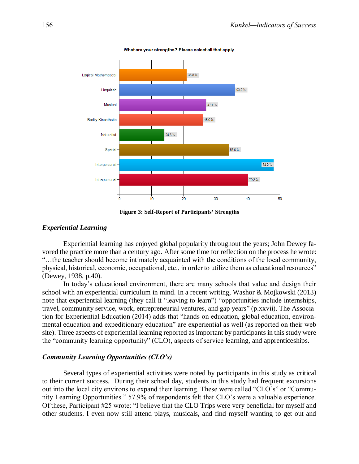

What are your strengths? Please select all that apply.

**Figure 3: Self-Report of Participants' Strengths**

#### *Experiential Learning*

 Experiential learning has enjoyed global popularity throughout the years; John Dewey favored the practice more than a century ago. After some time for reflection on the process he wrote: "…the teacher should become intimately acquainted with the conditions of the local community, physical, historical, economic, occupational, etc., in order to utilize them as educational resources" (Dewey, 1938, p.40).

 In today's educational environment, there are many schools that value and design their school with an experiential curriculum in mind. In a recent writing, Washor & Mojkowski (2013) note that experiential learning (they call it "leaving to learn") "opportunities include internships, travel, community service, work, entrepreneurial ventures, and gap years" (p.xxvii). The Association for Experiential Education (2014) adds that "hands on education, global education, environmental education and expeditionary education" are experiential as well (as reported on their web site). Three aspects of experiential learning reported as important by participants in this study were the "community learning opportunity" (CLO), aspects of service learning, and apprenticeships.

### *Community Learning Opportunities (CLO's)*

 Several types of experiential activities were noted by participants in this study as critical to their current success. During their school day, students in this study had frequent excursions out into the local city environs to expand their learning. These were called "CLO's" or "Community Learning Opportunities." 57.9% of respondents felt that CLO's were a valuable experience. Of these, Participant #25 wrote: "I believe that the CLO Trips were very beneficial for myself and other students. I even now still attend plays, musicals, and find myself wanting to get out and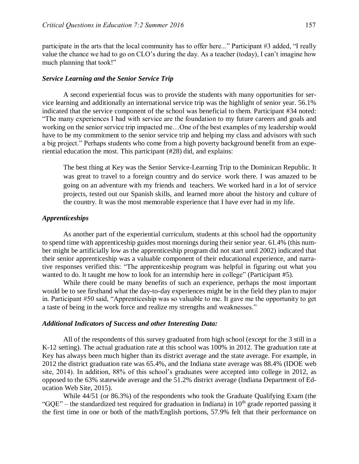participate in the arts that the local community has to offer here..." Participant #3 added, "I really value the chance we had to go on CLO's during the day. As a teacher (today), I can't imagine how much planning that took!"

#### *Service Learning and the Senior Service Trip*

 A second experiential focus was to provide the students with many opportunities for service learning and additionally an international service trip was the highlight of senior year. 56.1% indicated that the service component of the school was beneficial to them. Participant #34 noted: "The many experiences I had with service are the foundation to my future careers and goals and working on the senior service trip impacted me…One of the best examples of my leadership would have to be my commitment to the senior service trip and helping my class and advisors with such a big project." Perhaps students who come from a high poverty background benefit from an experiential education the most. This participant (#28) did, and explains:

 The best thing at Key was the Senior Service-Learning Trip to the Dominican Republic. It was great to travel to a foreign country and do service work there. I was amazed to be going on an adventure with my friends and teachers. We worked hard in a lot of service projects, tested out our Spanish skills, and learned more about the history and culture of the country. It was the most memorable experience that I have ever had in my life.

#### *Apprenticeships*

 As another part of the experiential curriculum, students at this school had the opportunity to spend time with apprenticeship guides most mornings during their senior year. 61.4% (this number might be artificially low as the apprenticeship program did not start until 2002) indicated that their senior apprenticeship was a valuable component of their educational experience, and narrative responses verified this: "The apprenticeship program was helpful in figuring out what you wanted to do. It taught me how to look for an internship here in college" (Participant #5).

 While there could be many benefits of such an experience, perhaps the most important would be to see firsthand what the day-to-day experiences might be in the field they plan to major in. Participant #50 said, "Apprenticeship was so valuable to me. It gave me the opportunity to get a taste of being in the work force and realize my strengths and weaknesses."

#### *Additional Indicators of Success and other Interesting Data:*

All of the respondents of this survey graduated from high school (except for the 3 still in a K-12 setting). The actual graduation rate at this school was 100% in 2012. The graduation rate at Key has always been much higher than its district average and the state average. For example, in 2012 the district graduation rate was 65.4%, and the Indiana state average was 88.4% (IDOE web site, 2014). In addition, 88% of this school's graduates were accepted into college in 2012, as opposed to the 63% statewide average and the 51.2% district average (Indiana Department of Education Web Site, 2015).

While 44/51 (or 86.3%) of the respondents who took the Graduate Qualifying Exam (the "GQE" – the standardized test required for graduation in Indiana) in  $10<sup>th</sup>$  grade reported passing it the first time in one or both of the math/English portions, 57.9% felt that their performance on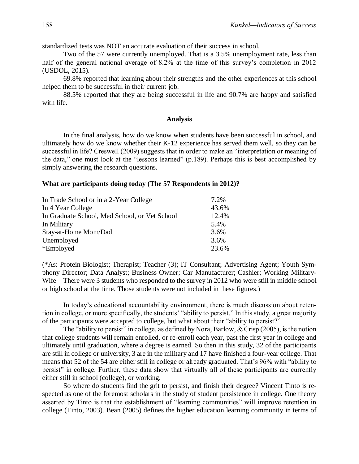standardized tests was NOT an accurate evaluation of their success in school.

Two of the 57 were currently unemployed. That is a 3.5% unemployment rate, less than half of the general national average of 8.2% at the time of this survey's completion in 2012 (USDOL, 2015).

69.8% reported that learning about their strengths and the other experiences at this school helped them to be successful in their current job.

88.5% reported that they are being successful in life and 90.7% are happy and satisfied with life.

#### **Analysis**

 In the final analysis, how do we know when students have been successful in school, and ultimately how do we know whether their K-12 experience has served them well, so they can be successful in life? Creswell (2009) suggests that in order to make an "interpretation or meaning of the data," one must look at the "lessons learned" (p.189). Perhaps this is best accomplished by simply answering the research questions.

# **What are participants doing today (The 57 Respondents in 2012)?**

| In Trade School or in a 2-Year College        | 7.2%  |
|-----------------------------------------------|-------|
| In 4 Year College                             | 43.6% |
| In Graduate School, Med School, or Vet School | 12.4% |
| In Military                                   | 5.4%  |
| Stay-at-Home Mom/Dad                          | 3.6%  |
| Unemployed                                    | 3.6%  |
| *Employed                                     | 23.6% |

(\*As: Protein Biologist; Therapist; Teacher (3); IT Consultant; Advertising Agent; Youth Symphony Director; Data Analyst; Business Owner; Car Manufacturer; Cashier; Working Military-Wife—There were 3 students who responded to the survey in 2012 who were still in middle school or high school at the time. Those students were not included in these figures.)

 In today's educational accountability environment, there is much discussion about retention in college, or more specifically, the students' "ability to persist." In this study, a great majority of the participants were accepted to college, but what about their "ability to persist?"

 The "ability to persist" in college, as defined by Nora, Barlow, & Crisp (2005), is the notion that college students will remain enrolled, or re-enroll each year, past the first year in college and ultimately until graduation, where a degree is earned. So then in this study, 32 of the participants are still in college or university, 3 are in the military and 17 have finished a four-year college. That means that 52 of the 54 are either still in college or already graduated. That's 96% with "ability to persist" in college. Further, these data show that virtually all of these participants are currently either still in school (college), or working.

 So where do students find the grit to persist, and finish their degree? Vincent Tinto is respected as one of the foremost scholars in the study of student persistence in college. One theory asserted by Tinto is that the establishment of "learning communities" will improve retention in college (Tinto, 2003). Bean (2005) defines the higher education learning community in terms of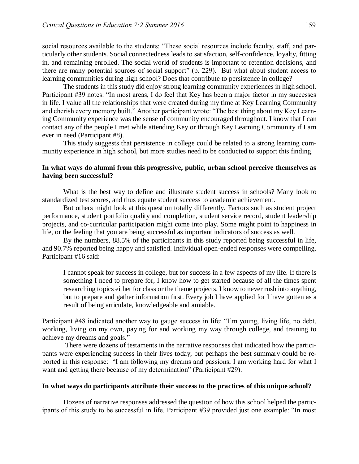social resources available to the students: "These social resources include faculty, staff, and particularly other students. Social connectedness leads to satisfaction, self-confidence, loyalty, fitting in, and remaining enrolled. The social world of students is important to retention decisions, and there are many potential sources of social support" (p. 229). But what about student access to learning communities during high school? Does that contribute to persistence in college?

 The students in this study did enjoy strong learning community experiences in high school. Participant #39 notes: "In most areas, I do feel that Key has been a major factor in my successes in life. I value all the relationships that were created during my time at Key Learning Community and cherish every memory built." Another participant wrote: "The best thing about my Key Learning Community experience was the sense of community encouraged throughout. I know that I can contact any of the people I met while attending Key or through Key Learning Community if I am ever in need (Participant #8).

 This study suggests that persistence in college could be related to a strong learning community experience in high school, but more studies need to be conducted to support this finding.

# **In what ways do alumni from this progressive, public, urban school perceive themselves as having been successful?**

 What is the best way to define and illustrate student success in schools? Many look to standardized test scores, and thus equate student success to academic achievement.

 But others might look at this question totally differently. Factors such as student project performance, student portfolio quality and completion, student service record, student leadership projects, and co-curricular participation might come into play. Some might point to happiness in life, or the feeling that you are being successful as important indicators of success as well.

 By the numbers, 88.5% of the participants in this study reported being successful in life, and 90.7% reported being happy and satisfied. Individual open-ended responses were compelling. Participant #16 said:

I cannot speak for success in college, but for success in a few aspects of my life. If there is something I need to prepare for, I know how to get started because of all the times spent researching topics either for class or the theme projects. I know to never rush into anything, but to prepare and gather information first. Every job I have applied for I have gotten as a result of being articulate, knowledgeable and amiable.

Participant #48 indicated another way to gauge success in life: "I'm young, living life, no debt, working, living on my own, paying for and working my way through college, and training to achieve my dreams and goals."

 There were dozens of testaments in the narrative responses that indicated how the participants were experiencing success in their lives today, but perhaps the best summary could be reported in this response: "I am following my dreams and passions, I am working hard for what I want and getting there because of my determination" (Participant #29).

### **In what ways do participants attribute their success to the practices of this unique school?**

 Dozens of narrative responses addressed the question of how this school helped the participants of this study to be successful in life. Participant #39 provided just one example: "In most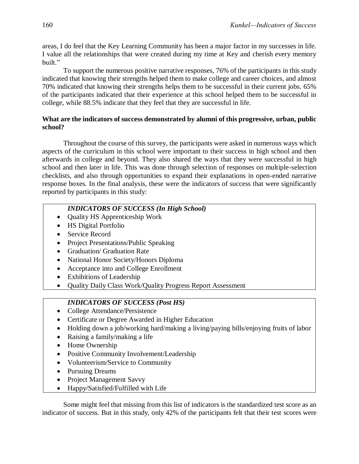areas, I do feel that the Key Learning Community has been a major factor in my successes in life. I value all the relationships that were created during my time at Key and cherish every memory built."

 To support the numerous positive narrative responses, 76% of the participants in this study indicated that knowing their strengths helped them to make college and career choices, and almost 70% indicated that knowing their strengths helps them to be successful in their current jobs. 65% of the participants indicated that their experience at this school helped them to be successful in college, while 88.5% indicate that they feel that they are successful in life.

# **What are the indicators of success demonstrated by alumni of this progressive, urban, public school?**

Throughout the course of this survey, the participants were asked in numerous ways which aspects of the curriculum in this school were important to their success in high school and then afterwards in college and beyond. They also shared the ways that they were successful in high school and then later in life. This was done through selection of responses on multiple-selection checklists, and also through opportunities to expand their explanations in open-ended narrative response boxes. In the final analysis, these were the indicators of success that were significantly reported by participants in this study:

# *INDICATORS OF SUCCESS (In High School)*

- Quality HS Apprenticeship Work
- HS Digital Portfolio
- Service Record
- Project Presentations/Public Speaking
- Graduation/ Graduation Rate
- National Honor Society/Honors Diploma
- Acceptance into and College Enrollment
- Exhibitions of Leadership
- Quality Daily Class Work/Quality Progress Report Assessment

# *INDICATORS OF SUCCESS (Post HS)*

- College Attendance/Persistence
- Certificate or Degree Awarded in Higher Education
- Holding down a job/working hard/making a living/paying bills/enjoying fruits of labor
- Raising a family/making a life
- Home Ownership
- Positive Community Involvement/Leadership
- Volunteerism/Service to Community
- Pursuing Dreams
- Project Management Savvy
- Happy/Satisfied/Fulfilled with Life

 Some might feel that missing from this list of indicators is the standardized test score as an indicator of success. But in this study, only 42% of the participants felt that their test scores were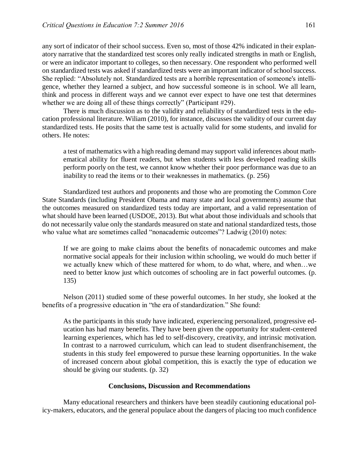any sort of indicator of their school success. Even so, most of those 42% indicated in their explanatory narrative that the standardized test scores only really indicated strengths in math or English, or were an indicator important to colleges, so then necessary. One respondent who performed well on standardized tests was asked if standardized tests were an important indicator of school success. She replied: "Absolutely not. Standardized tests are a horrible representation of someone's intelligence, whether they learned a subject, and how successful someone is in school. We all learn, think and process in different ways and we cannot ever expect to have one test that determines whether we are doing all of these things correctly" (Participant #29).

 There is much discussion as to the validity and reliability of standardized tests in the education professional literature. Wiliam (2010), for instance, discusses the validity of our current day standardized tests. He posits that the same test is actually valid for some students, and invalid for others. He notes:

a test of mathematics with a high reading demand may support valid inferences about mathematical ability for fluent readers, but when students with less developed reading skills perform poorly on the test, we cannot know whether their poor performance was due to an inability to read the items or to their weaknesses in mathematics. (p. 256)

 Standardized test authors and proponents and those who are promoting the Common Core State Standards (including President Obama and many state and local governments) assume that the outcomes measured on standardized tests today are important, and a valid representation of what should have been learned (USDOE, 2013). But what about those individuals and schools that do not necessarily value only the standards measured on state and national standardized tests, those who value what are sometimes called "nonacademic outcomes"? Ladwig (2010) notes:

If we are going to make claims about the benefits of nonacademic outcomes and make normative social appeals for their inclusion within schooling, we would do much better if we actually knew which of these mattered for whom, to do what, where, and when…we need to better know just which outcomes of schooling are in fact powerful outcomes. (p. 135)

 Nelson (2011) studied some of these powerful outcomes. In her study, she looked at the benefits of a progressive education in "the era of standardization." She found:

As the participants in this study have indicated, experiencing personalized, progressive education has had many benefits. They have been given the opportunity for student-centered learning experiences, which has led to self-discovery, creativity, and intrinsic motivation. In contrast to a narrowed curriculum, which can lead to student disenfranchisement, the students in this study feel empowered to pursue these learning opportunities. In the wake of increased concern about global competition, this is exactly the type of education we should be giving our students. (p. 32)

#### **Conclusions, Discussion and Recommendations**

 Many educational researchers and thinkers have been steadily cautioning educational policy-makers, educators, and the general populace about the dangers of placing too much confidence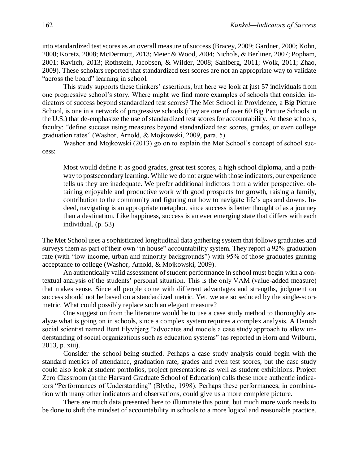into standardized test scores as an overall measure of success (Bracey, 2009; Gardner, 2000; Kohn, 2000; Koretz, 2008; McDermott, 2013; Meier & Wood, 2004; Nichols, & Berliner, 2007; Popham, 2001; Ravitch, 2013; Rothstein, Jacobsen, & Wilder, 2008; Sahlberg, 2011; Wolk, 2011; Zhao, 2009). These scholars reported that standardized test scores are not an appropriate way to validate "across the board" learning in school.

 This study supports these thinkers' assertions, but here we look at just 57 individuals from one progressive school's story. Where might we find more examples of schools that consider indicators of success beyond standardized test scores? The Met School in Providence, a Big Picture School, is one in a network of progressive schools (they are one of over 60 Big Picture Schools in the U.S.) that de-emphasize the use of standardized test scores for accountability. At these schools, faculty: "define success using measures beyond standardized test scores, grades, or even college graduation rates" (Washor, Arnold, & Mojkowski, 2009, para. 5).

 Washor and Mojkowski (2013) go on to explain the Met School's concept of school success:

Most would define it as good grades, great test scores, a high school diploma, and a pathway to postsecondary learning. While we do not argue with those indicators, our experience tells us they are inadequate. We prefer additional indictors from a wider perspective: obtaining enjoyable and productive work with good prospects for growth, raising a family, contribution to the community and figuring out how to navigate life's ups and downs. Indeed, navigating is an appropriate metaphor, since success is better thought of as a journey than a destination. Like happiness, success is an ever emerging state that differs with each individual. (p. 53)

The Met School uses a sophisticated longitudinal data gathering system that follows graduates and surveys them as part of their own "in house" accountability system. They report a 92% graduation rate (with "low income, urban and minority backgrounds") with 95% of those graduates gaining acceptance to college (Washor, Arnold, & Mojkowski, 2009).

 An authentically valid assessment of student performance in school must begin with a contextual analysis of the students' personal situation. This is the only VAM (value-added measure) that makes sense. Since all people come with different advantages and strengths, judgment on success should not be based on a standardized metric. Yet, we are so seduced by the single-score metric. What could possibly replace such an elegant measure?

 One suggestion from the literature would be to use a case study method to thoroughly analyze what is going on in schools, since a complex system requires a complex analysis. A Danish social scientist named Bent Flyvbjerg "advocates and models a case study approach to allow understanding of social organizations such as education systems" (as reported in Horn and Wilburn, 2013, p. xiii).

 Consider the school being studied. Perhaps a case study analysis could begin with the standard metrics of attendance, graduation rate, grades and even test scores, but the case study could also look at student portfolios, project presentations as well as student exhibitions. Project Zero Classroom (at the Harvard Graduate School of Education) calls these more authentic indicators "Performances of Understanding" (Blythe, 1998). Perhaps these performances, in combination with many other indicators and observations, could give us a more complete picture.

 There are much data presented here to illuminate this point, but much more work needs to be done to shift the mindset of accountability in schools to a more logical and reasonable practice.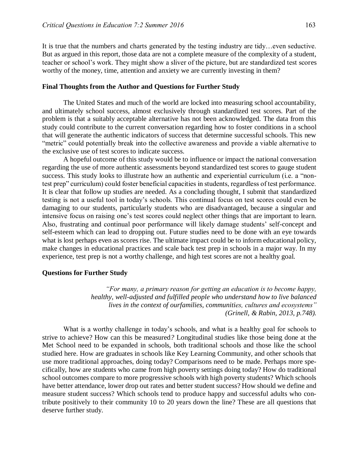It is true that the numbers and charts generated by the testing industry are tidy…even seductive. But as argued in this report, those data are not a complete measure of the complexity of a student, teacher or school's work. They might show a sliver of the picture, but are standardized test scores worthy of the money, time, attention and anxiety we are currently investing in them?

#### **Final Thoughts from the Author and Questions for Further Study**

 The United States and much of the world are locked into measuring school accountability, and ultimately school success, almost exclusively through standardized test scores. Part of the problem is that a suitably acceptable alternative has not been acknowledged. The data from this study could contribute to the current conversation regarding how to foster conditions in a school that will generate the authentic indicators of success that determine successful schools. This new "metric" could potentially break into the collective awareness and provide a viable alternative to the exclusive use of test scores to indicate success.

 A hopeful outcome of this study would be to influence or impact the national conversation regarding the use of more authentic assessments beyond standardized test scores to gauge student success. This study looks to illustrate how an authentic and experiential curriculum (i.e. a "nontest prep" curriculum) could foster beneficial capacities in students, regardless of test performance. It is clear that follow up studies are needed. As a concluding thought, I submit that standardized testing is not a useful tool in today's schools. This continual focus on test scores could even be damaging to our students, particularly students who are disadvantaged, because a singular and intensive focus on raising one's test scores could neglect other things that are important to learn. Also, frustrating and continual poor performance will likely damage students' self-concept and self-esteem which can lead to dropping out. Future studies need to be done with an eye towards what is lost perhaps even as scores rise. The ultimate impact could be to inform educational policy, make changes in educational practices and scale back test prep in schools in a major way. In my experience, test prep is not a worthy challenge, and high test scores are not a healthy goal.

#### **Questions for Further Study**

 *"For many, a primary reason for getting an education is to become happy, healthy, well-adjusted and fulfilled people who understand how to live balanced lives in the context of ourfamilies, communities, cultures and ecosystems" (Grinell, & Rabin, 2013, p.748).* 

 What is a worthy challenge in today's schools, and what is a healthy goal for schools to strive to achieve? How can this be measured*?* Longitudinal studies like those being done at the Met School need to be expanded in schools, both traditional schools and those like the school studied here. How are graduates in schools like Key Learning Community, and other schools that use more traditional approaches, doing today? Comparisons need to be made. Perhaps more specifically, how are students who came from high poverty settings doing today? How do traditional school outcomes compare to more progressive schools with high poverty students? Which schools have better attendance, lower drop out rates and better student success? How should we define and measure student success? Which schools tend to produce happy and successful adults who contribute positively to their community 10 to 20 years down the line? These are all questions that deserve further study.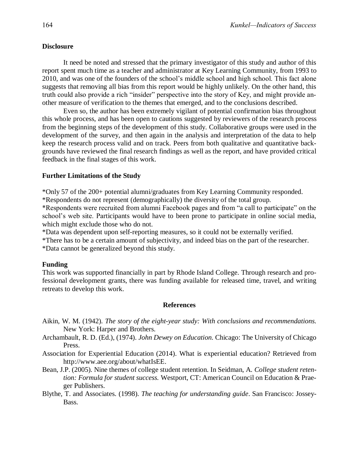# **Disclosure**

It need be noted and stressed that the primary investigator of this study and author of this report spent much time as a teacher and administrator at Key Learning Community, from 1993 to 2010, and was one of the founders of the school's middle school and high school. This fact alone suggests that removing all bias from this report would be highly unlikely. On the other hand, this truth could also provide a rich "insider" perspective into the story of Key, and might provide another measure of verification to the themes that emerged, and to the conclusions described.

Even so, the author has been extremely vigilant of potential confirmation bias throughout this whole process, and has been open to cautions suggested by reviewers of the research process from the beginning steps of the development of this study. Collaborative groups were used in the development of the survey, and then again in the analysis and interpretation of the data to help keep the research process valid and on track. Peers from both qualitative and quantitative backgrounds have reviewed the final research findings as well as the report, and have provided critical feedback in the final stages of this work.

#### **Further Limitations of the Study**

\*Only 57 of the 200+ potential alumni/graduates from Key Learning Community responded. \*Respondents do not represent (demographically) the diversity of the total group.

\*Respondents were recruited from alumni Facebook pages and from "a call to participate" on the school's web site. Participants would have to been prone to participate in online social media, which might exclude those who do not.

\*Data was dependent upon self-reporting measures, so it could not be externally verified.

\*There has to be a certain amount of subjectivity, and indeed bias on the part of the researcher.

\*Data cannot be generalized beyond this study.

#### **Funding**

This work was supported financially in part by Rhode Island College. Through research and professional development grants, there was funding available for released time, travel, and writing retreats to develop this work.

#### **References**

- Aikin, W. M. (1942). *The story of the eight-year study: With conclusions and recommendations.* New York: Harper and Brothers.
- Archambault, R. D. (Ed.), (1974). *John Dewey on Education.* Chicago: The University of Chicago Press.
- Association for Experiential Education (2014). What is experiential education? Retrieved from [http://www.aee.org/about/whatIsEE.](http://www.aee.org/about/whatIsEE)
- Bean, J.P. (2005). Nine themes of college student retention. In Seidman, A. *College student retention: Formula for student success.* Westport, CT: American Council on Education & Praeger Publishers.
- Blythe, T. and Associates. (1998). *The teaching for understanding guide*. San Francisco: Jossey-Bass.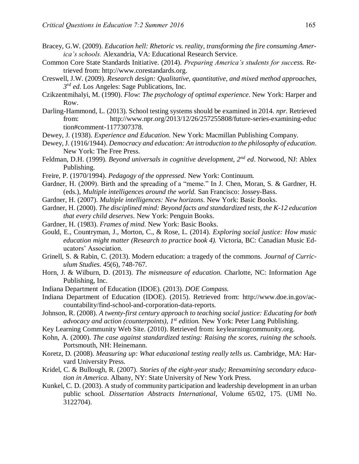- Bracey, G.W. (2009). *Education hell: Rhetoric vs. reality, transforming the fire consuming America's schools.* Alexandria, VA: Educational Research Service.
- Common Core State Standards Initiative. (2014). *Preparing America's students for success.* Retrieved from: http://www.corestandards.org.
- Creswell, J.W. (2009). *Research design: Qualitative, quantitative, and mixed method approaches, 3 rd ed*. Los Angeles: Sage Publications, Inc.
- Czikzentmihalyi, M. (1990). *Flow: The psychology of optimal experience*. New York: Harper and Row.
- Darling-Hammond, L. (2013). School testing systems should be examined in 2014. *npr.* Retrieved from: http://www.npr.org/2013/12/26/257255808/future-series-examining-educ tion#comment-1177307378.
- Dewey, J. (1938). *Experience and Education*. New York: Macmillan Publishing Company.
- Dewey, J. (1916/1944). *Democracy and education: An introduction to the philosophy of education*. New York: The Free Press.
- Feldman, D.H. (1999). *Beyond universals in cognitive development, 2nd ed*. Norwood, NJ: Ablex Publishing.
- Freire, P. (1970/1994). *Pedagogy of the oppressed*. New York: Continuum.
- Gardner, H. (2009). Birth and the spreading of a "meme." In J. Chen, Moran, S. & Gardner, H. (eds.), *Multiple intelligences around the world.* San Francisco: Jossey-Bass.
- Gardner, H. (2007). *Multiple intelligences: New horizons*. New York: Basic Books.
- Gardner, H. (2000). *The disciplined mind: Beyond facts and standardized tests, the K-12 education that every child deserves*. New York: Penguin Books.
- Gardner, H. (1983). *Frames of mind*. New York: Basic Books.
- Gould, E., Countryman, J., Morton, C., & Rose, L. (2014). *Exploring social justice: How music education might matter (Research to practice book 4).* Victoria, BC: Canadian Music Educators' Association.
- Grinell, S. & Rabin, C. (2013). Modern education: a tragedy of the commons. *Journal of Curriculum Studies*. 45(6), 748-767.
- Horn, J. & Wilburn, D. (2013). *The mismeasure of education.* Charlotte, NC: Information Age Publishing, Inc.
- Indiana Department of Education (IDOE). (2013). *DOE Compass.*
- Indiana Department of Education (IDOE). (2015). Retrieved from: [http://www.doe.in.gov/ac](http://www.doe.in.gov/accountability/find-school-and-corporation-data-reports)[countability/find-school-and-corporation-data-reports.](http://www.doe.in.gov/accountability/find-school-and-corporation-data-reports)
- Johnson, R. (2008). *A twenty-first century approach to teaching social justice: Educating for both advocacy and action (counterpoints), 1st edition.* New York: Peter Lang Publishing.
- Key Learning Community Web Site. (2010). Retrieved from: keylearningcommunity.org.
- Kohn, A. (2000). *The case against standardized testing: Raising the scores, ruining the schools.* Portsmouth, NH: Heinemann.
- Koretz, D. (2008). *Measuring up: What educational testing really tells us*. Cambridge, MA: Harvard University Press.
- Kridel, C. & Bullough, R. (2007). *Stories of the eight-year study; Reexamining secondary education in America*. Albany, NY: State University of New York Press.
- Kunkel, C. D. (2003). A study of community participation and leadership development in an urban public school. *Dissertation Abstracts International*, Volume 65/02, 175. (UMI No. 3122704).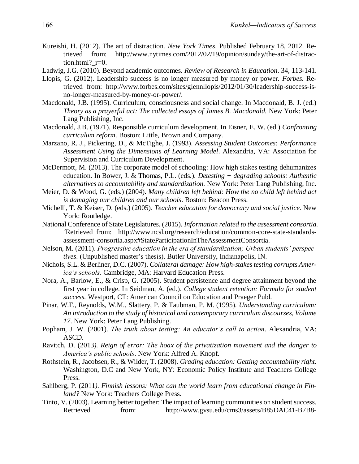- Kureishi, H. (2012). The art of distraction. *New York Times*. Published February 18, 2012. Retrieved from: [http://www.nytimes.com/2012/02/19/opinion/sunday/the-art-of-distrac](http://www.nytimes.com/2012/02/19/opinion/sunday/the-art-of-distraction.html?_r=0)tion.html?  $r=0$ .
- Ladwig, J.G. (2010). Beyond academic outcomes. *Review of Research in Education*. 34, 113-141.
- Llopis, G. (2012). Leadership success is no longer measured by money or power. *Forbes.* Retrieved from: [http://www.forbes.com/sites/glennllopis/2012/01/30/leadership-success-is](http://www.forbes.com/sites/glennllopis/2012/01/30/leadership-success-is-no-longer-measured-by-money-or-power/)[no-longer-measured-by-money-or-power/.](http://www.forbes.com/sites/glennllopis/2012/01/30/leadership-success-is-no-longer-measured-by-money-or-power/)
- Macdonald, J.B. (1995). Curriculum, consciousness and social change. In Macdonald, B. J. (ed.) *Theory as a prayerful act: The collected essays of James B. Macdonald.* New York: Peter Lang Publishing, Inc.
- Macdonald, J.B. (1971). Responsible curriculum development. In Eisner, E. W. (ed.) *Confronting curriculum reform*. Boston: Little, Brown and Company.
- Marzano, R. J., Pickering, D., & McTighe, J. (1993). *Assessing Student Outcomes: Performance Assessment Using the Dimensions of Learning Model*. Alexandria, VA: Association for Supervision and Curriculum Development.
- McDermott, M. (2013). The corporate model of schooling: How high stakes testing dehumanizes education. In Bower, J. & Thomas, P.L. (eds.). *Detesting + degrading schools: Authentic alternatives to accountability and standardization.* New York: Peter Lang Publishing, Inc.
- Meier, D. & Wood, G. (eds.) (2004). *Many children left behind: How the no child left behind act is damaging our children and our schools*. Boston: Beacon Press.
- Michelli, T. & Keiser, D. (eds.) (2005). *Teacher education for democracy and social justice*. New York: Routledge.
- National Conference of State Legislatures. (2015). *Information related to the assessment consortia. ˆ*Retrieved from: [http://www.ncsl.org/research/education/common-core-state-standards](http://www.ncsl.org/research/education/common-core-state-standards-assessment-consortia.aspx#StateParticipationInTheAssessmentConsortia)[assessment-consortia.aspx#StateParticipationInTheAssessmentConsortia.](http://www.ncsl.org/research/education/common-core-state-standards-assessment-consortia.aspx#StateParticipationInTheAssessmentConsortia)
- Nelson, M. (2011). *Progressive education in the era of standardization; Urban students' perspectives*. (Unpublished master's thesis). Butler University, Indianapolis, IN.
- Nichols, S.L. & Berliner, D.C. (2007). *Collateral damage: How high-stakes testing corrupts America's schools.* Cambridge, MA: Harvard Education Press.
- Nora, A., Barlow, E., & Crisp, G. (2005). Student persistence and degree attainment beyond the first year in college. In Seidman, A. (ed.). *College student retention: Formula for student success.* Westport, CT: American Council on Education and Praeger Publ.
- Pinar, W.F., Reynolds, W.M., Slattery, P. & Taubman, P. M. (1995). *Understanding curriculum: An introduction to the study of historical and contemporary curriculum discourses, Volume 17*. New York: Peter Lang Publishing.
- Popham, J. W. (2001). *The truth about testing: An educator's call to action*. Alexandria, VA: ASCD.
- Ravitch, D. (2013*). Reign of error: The hoax of the privatization movement and the danger to America's public schools*. New York: Alfred A. Knopf.
- Rothstein, R., Jacobsen, R., & Wilder, T. (2008). *Grading education: Getting accountability right.* Washington, D.C and New York, NY: Economic Policy Institute and Teachers College Press.
- Sahlberg, P. (2011*). Finnish lessons: What can the world learn from educational change in Finland?* New York: Teachers College Press.
- Tinto, V. (2003). Learning better together: The impact of learning communities on student success. Retrieved from: [http://www.gvsu.edu/cms3/assets/B85DAC41-B7B8-](http://www.gvsu.edu/cms3/assets/B85DAC41-B7B8-3B9F-A116121D5AE29B05/Learning%20Better%20Together.pdf)